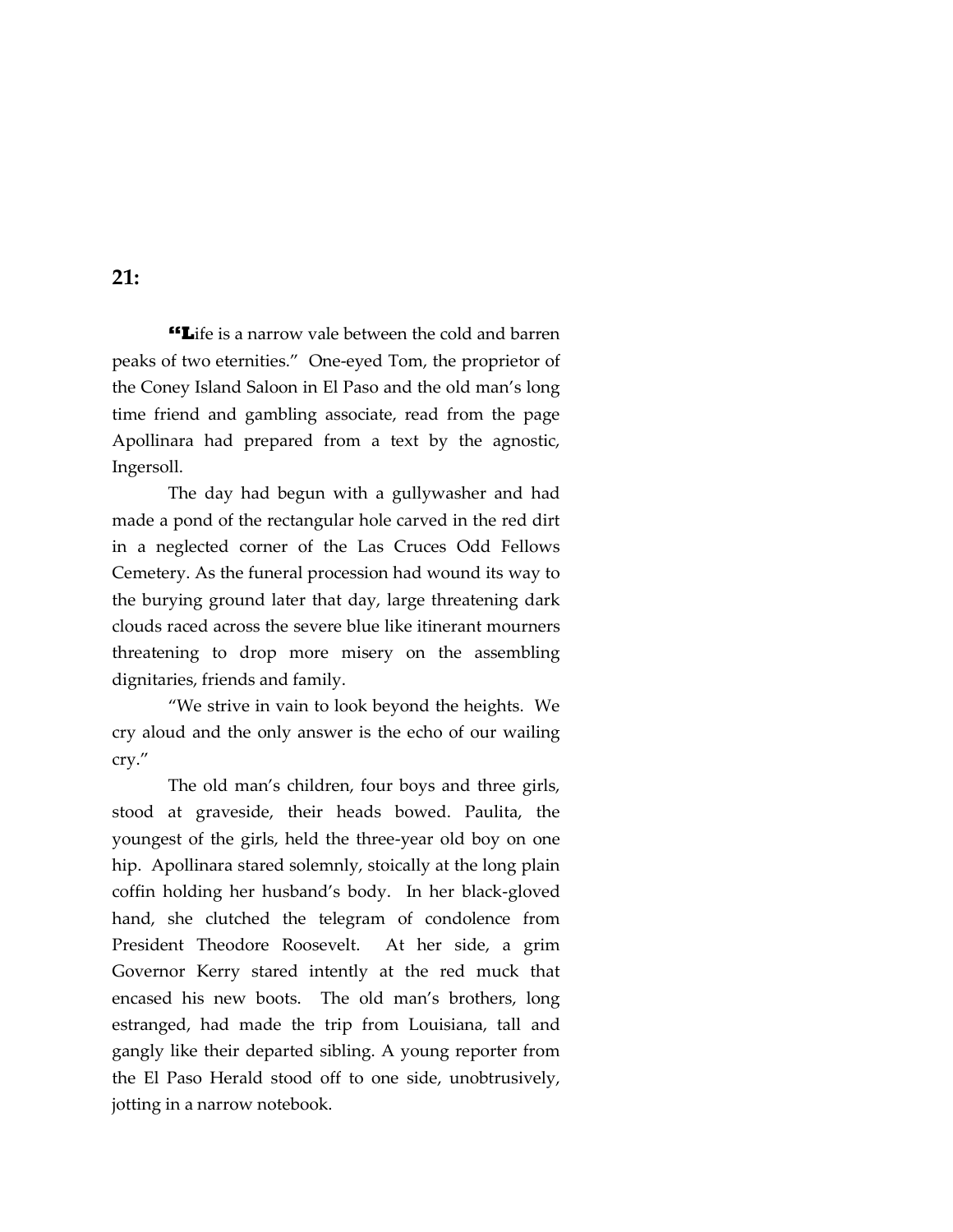**"L**ife is a narrow vale between the cold and barren peaks of two eternities." One-eyed Tom, the proprietor of the Coney Island Saloon in El Paso and the old man's long time friend and gambling associate, read from the page Apollinara had prepared from a text by the agnostic, Ingersoll.

The day had begun with a gullywasher and had made a pond of the rectangular hole carved in the red dirt in a neglected corner of the Las Cruces Odd Fellows Cemetery. As the funeral procession had wound its way to the burying ground later that day, large threatening dark clouds raced across the severe blue like itinerant mourners threatening to drop more misery on the assembling dignitaries, friends and family.

"We strive in vain to look beyond the heights. We cry aloud and the only answer is the echo of our wailing cry."

The old man's children, four boys and three girls, stood at graveside, their heads bowed. Paulita, the youngest of the girls, held the three-year old boy on one hip. Apollinara stared solemnly, stoically at the long plain coffin holding her husband's body. In her black-gloved hand, she clutched the telegram of condolence from President Theodore Roosevelt. At her side, a grim Governor Kerry stared intently at the red muck that encased his new boots. The old man's brothers, long estranged, had made the trip from Louisiana, tall and gangly like their departed sibling. A young reporter from the El Paso Herald stood off to one side, unobtrusively, jotting in a narrow notebook.